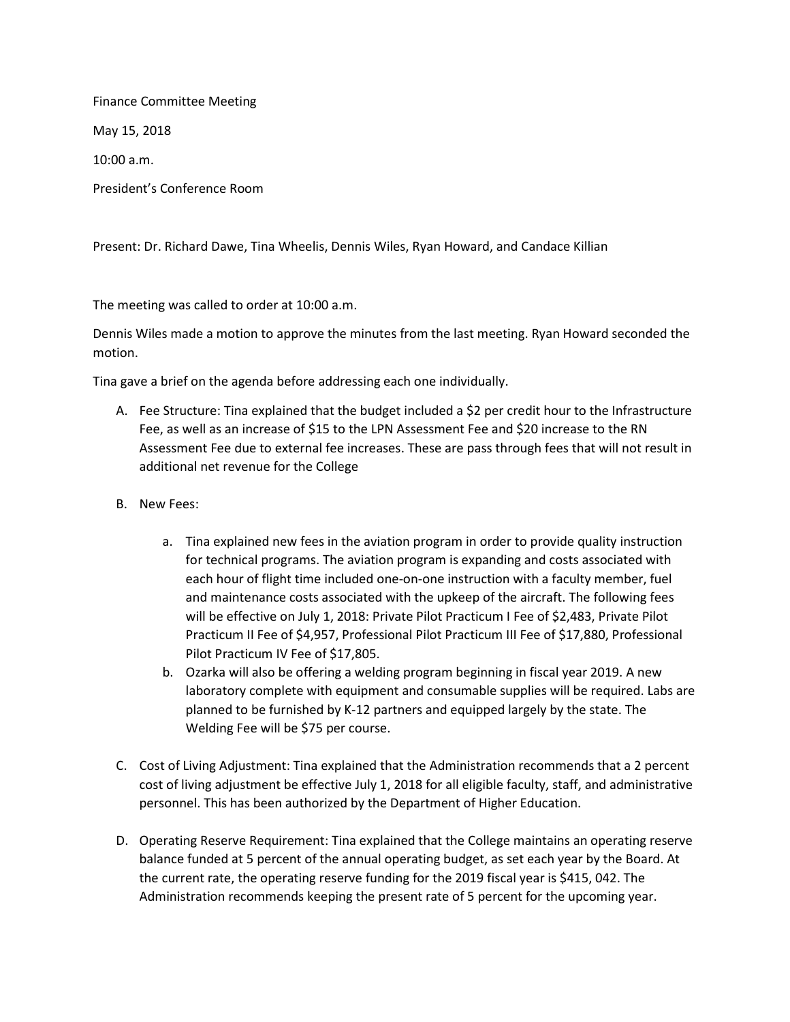Finance Committee Meeting May 15, 2018 10:00 a.m. President's Conference Room

Present: Dr. Richard Dawe, Tina Wheelis, Dennis Wiles, Ryan Howard, and Candace Killian

The meeting was called to order at 10:00 a.m.

Dennis Wiles made a motion to approve the minutes from the last meeting. Ryan Howard seconded the motion.

Tina gave a brief on the agenda before addressing each one individually.

- A. Fee Structure: Tina explained that the budget included a \$2 per credit hour to the Infrastructure Fee, as well as an increase of \$15 to the LPN Assessment Fee and \$20 increase to the RN Assessment Fee due to external fee increases. These are pass through fees that will not result in additional net revenue for the College
- B. New Fees:
	- a. Tina explained new fees in the aviation program in order to provide quality instruction for technical programs. The aviation program is expanding and costs associated with each hour of flight time included one-on-one instruction with a faculty member, fuel and maintenance costs associated with the upkeep of the aircraft. The following fees will be effective on July 1, 2018: Private Pilot Practicum I Fee of \$2,483, Private Pilot Practicum II Fee of \$4,957, Professional Pilot Practicum III Fee of \$17,880, Professional Pilot Practicum IV Fee of \$17,805.
	- b. Ozarka will also be offering a welding program beginning in fiscal year 2019. A new laboratory complete with equipment and consumable supplies will be required. Labs are planned to be furnished by K-12 partners and equipped largely by the state. The Welding Fee will be \$75 per course.
- C. Cost of Living Adjustment: Tina explained that the Administration recommends that a 2 percent cost of living adjustment be effective July 1, 2018 for all eligible faculty, staff, and administrative personnel. This has been authorized by the Department of Higher Education.
- D. Operating Reserve Requirement: Tina explained that the College maintains an operating reserve balance funded at 5 percent of the annual operating budget, as set each year by the Board. At the current rate, the operating reserve funding for the 2019 fiscal year is \$415, 042. The Administration recommends keeping the present rate of 5 percent for the upcoming year.